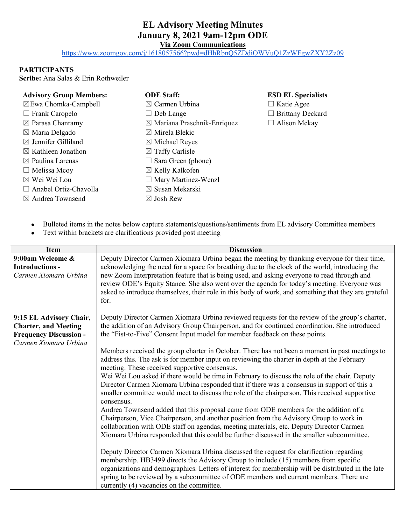## **EL Advisory Meeting Minutes January 8, 2021 9am-12pm ODE**

**Via Zoom Communications**

<https://www.zoomgov.com/j/1618057566?pwd=dHhRbnQ5ZDdiOWVuQ1ZzWFgwZXY2Zz09>

## **PARTICIPANTS**

**Scribe:** Ana Salas & Erin Rothweiler

| <b>Advisory Group Members:</b>  | <b>ODE Staff:</b>                      | <b>ESD EL Specialists</b> |
|---------------------------------|----------------------------------------|---------------------------|
| $\boxtimes$ Ewa Chomka-Campbell | $\boxtimes$ Carmen Urbina              | $\Box$ Katie Agee         |
| $\Box$ Frank Caropelo           | $\Box$ Deb Lange                       | $\Box$ Brittany Deckard   |
| $\boxtimes$ Parasa Chanramy     | $\boxtimes$ Mariana Praschnik-Enriquez | $\Box$ Alison Mckay       |
| $\boxtimes$ Maria Delgado       | $\boxtimes$ Mirela Blekic              |                           |
| $\boxtimes$ Jennifer Gilliland  | $\boxtimes$ Michael Reyes              |                           |
| $\boxtimes$ Kathleen Jonathon   | $\boxtimes$ Taffy Carlisle             |                           |
| $\boxtimes$ Paulina Larenas     | $\Box$ Sara Green (phone)              |                           |
| $\Box$ Melissa Mcoy             | $\boxtimes$ Kelly Kalkofen             |                           |
| $\boxtimes$ Wei Wei Lou         | $\Box$ Mary Martinez-Wenzl             |                           |
| $\Box$ Anabel Ortiz-Chavolla    | $\boxtimes$ Susan Mekarski             |                           |
| $\boxtimes$ Andrea Townsend     | $\boxtimes$ Josh Rew                   |                           |

- Bulleted items in the notes below capture statements/questions/sentiments from EL advisory Committee members
- Text within brackets are clarifications provided post meeting

| Item                                                                                                             | <b>Discussion</b>                                                                                                                                                                                                                                                                                                                                                                                                                                                                                                                                                                                                                                                                                                                                                                                                                                                                                                                                                                                                                                                                                                                                                                                                                                                                                                                                                                                                                                                                                                                                                                                           |  |
|------------------------------------------------------------------------------------------------------------------|-------------------------------------------------------------------------------------------------------------------------------------------------------------------------------------------------------------------------------------------------------------------------------------------------------------------------------------------------------------------------------------------------------------------------------------------------------------------------------------------------------------------------------------------------------------------------------------------------------------------------------------------------------------------------------------------------------------------------------------------------------------------------------------------------------------------------------------------------------------------------------------------------------------------------------------------------------------------------------------------------------------------------------------------------------------------------------------------------------------------------------------------------------------------------------------------------------------------------------------------------------------------------------------------------------------------------------------------------------------------------------------------------------------------------------------------------------------------------------------------------------------------------------------------------------------------------------------------------------------|--|
| 9:00am Welcome &<br><b>Introductions -</b><br>Carmen Xiomara Urbina                                              | Deputy Director Carmen Xiomara Urbina began the meeting by thanking everyone for their time,<br>acknowledging the need for a space for breathing due to the clock of the world, introducing the<br>new Zoom Interpretation feature that is being used, and asking everyone to read through and<br>review ODE's Equity Stance. She also went over the agenda for today's meeting. Everyone was<br>asked to introduce themselves, their role in this body of work, and something that they are grateful<br>for.                                                                                                                                                                                                                                                                                                                                                                                                                                                                                                                                                                                                                                                                                                                                                                                                                                                                                                                                                                                                                                                                                               |  |
| 9:15 EL Advisory Chair,<br><b>Charter, and Meeting</b><br><b>Frequency Discussion -</b><br>Carmen Xiomara Urbina | Deputy Director Carmen Xiomara Urbina reviewed requests for the review of the group's charter,<br>the addition of an Advisory Group Chairperson, and for continued coordination. She introduced<br>the "Fist-to-Five" Consent Input model for member feedback on these points.<br>Members received the group charter in October. There has not been a moment in past meetings to<br>address this. The ask is for member input on reviewing the charter in depth at the February<br>meeting. These received supportive consensus.<br>Wei Wei Lou asked if there would be time in February to discuss the role of the chair. Deputy<br>Director Carmen Xiomara Urbina responded that if there was a consensus in support of this a<br>smaller committee would meet to discuss the role of the chairperson. This received supportive<br>consensus.<br>Andrea Townsend added that this proposal came from ODE members for the addition of a<br>Chairperson, Vice Chairperson, and another position from the Advisory Group to work in<br>collaboration with ODE staff on agendas, meeting materials, etc. Deputy Director Carmen<br>Xiomara Urbina responded that this could be further discussed in the smaller subcommittee.<br>Deputy Director Carmen Xiomara Urbina discussed the request for clarification regarding<br>membership. HB3499 directs the Advisory Group to include (15) members from specific<br>organizations and demographics. Letters of interest for membership will be distributed in the late<br>spring to be reviewed by a subcommittee of ODE members and current members. There are |  |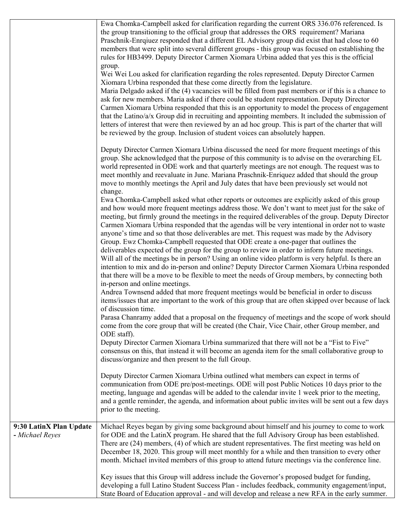|                                            | Ewa Chomka-Campbell asked for clarification regarding the current ORS 336.076 referenced. Is<br>the group transitioning to the official group that addresses the ORS requirement? Mariana<br>Praschnik-Enrquez responded that a different EL Advisory group did exist that had close to 60<br>members that were split into several different groups - this group was focused on establishing the<br>rules for HB3499. Deputy Director Carmen Xiomara Urbina added that yes this is the official<br>group.<br>Wei Wei Lou asked for clarification regarding the roles represented. Deputy Director Carmen                                                                                                                                                                                                                                                                                                                                                                                                |
|--------------------------------------------|---------------------------------------------------------------------------------------------------------------------------------------------------------------------------------------------------------------------------------------------------------------------------------------------------------------------------------------------------------------------------------------------------------------------------------------------------------------------------------------------------------------------------------------------------------------------------------------------------------------------------------------------------------------------------------------------------------------------------------------------------------------------------------------------------------------------------------------------------------------------------------------------------------------------------------------------------------------------------------------------------------|
|                                            | Xiomara Urbina responded that these come directly from the legislature.<br>Maria Delgado asked if the (4) vacancies will be filled from past members or if this is a chance to<br>ask for new members. Maria asked if there could be student representation. Deputy Director<br>Carmen Xiomara Urbina responded that this is an opportunity to model the process of engagement<br>that the Latino/a/x Group did in recruiting and appointing members. It included the submission of<br>letters of interest that were then reviewed by an ad hoc group. This is part of the charter that will<br>be reviewed by the group. Inclusion of student voices can absolutely happen.                                                                                                                                                                                                                                                                                                                            |
|                                            | Deputy Director Carmen Xiomara Urbina discussed the need for more frequent meetings of this<br>group. She acknowledged that the purpose of this community is to advise on the overarching EL<br>world represented in ODE work and that quarterly meetings are not enough. The request was to<br>meet monthly and reevaluate in June. Mariana Praschnik-Enriquez added that should the group<br>move to monthly meetings the April and July dates that have been previously set would not<br>change.                                                                                                                                                                                                                                                                                                                                                                                                                                                                                                     |
|                                            | Ewa Chomka-Campbell asked what other reports or outcomes are explicitly asked of this group<br>and how would more frequent meetings address those. We don't want to meet just for the sake of<br>meeting, but firmly ground the meetings in the required deliverables of the group. Deputy Director<br>Carmen Xiomara Urbina responded that the agendas will be very intentional in order not to waste<br>anyone's time and so that those deliverables are met. This request was made by the Advisory<br>Group. Ewz Chomka-Campbell requested that ODE create a one-pager that outlines the<br>deliverables expected of the group for the group to review in order to inform future meetings.<br>Will all of the meetings be in person? Using an online video platform is very helpful. Is there an<br>intention to mix and do in-person and online? Deputy Director Carmen Xiomara Urbina responded<br>that there will be a move to be flexible to meet the needs of Group members, by connecting both |
|                                            | in-person and online meetings.<br>Andrea Townsend added that more frequent meetings would be beneficial in order to discuss<br>items/issues that are important to the work of this group that are often skipped over because of lack<br>of discussion time.                                                                                                                                                                                                                                                                                                                                                                                                                                                                                                                                                                                                                                                                                                                                             |
|                                            | Parasa Chanramy added that a proposal on the frequency of meetings and the scope of work should<br>come from the core group that will be created (the Chair, Vice Chair, other Group member, and<br>ODE staff).                                                                                                                                                                                                                                                                                                                                                                                                                                                                                                                                                                                                                                                                                                                                                                                         |
|                                            | Deputy Director Carmen Xiomara Urbina summarized that there will not be a "Fist to Five"<br>consensus on this, that instead it will become an agenda item for the small collaborative group to<br>discuss/organize and then present to the full Group.                                                                                                                                                                                                                                                                                                                                                                                                                                                                                                                                                                                                                                                                                                                                                  |
|                                            | Deputy Director Carmen Xiomara Urbina outlined what members can expect in terms of<br>communication from ODE pre/post-meetings. ODE will post Public Notices 10 days prior to the<br>meeting, language and agendas will be added to the calendar invite 1 week prior to the meeting,<br>and a gentle reminder, the agenda, and information about public invites will be sent out a few days<br>prior to the meeting.                                                                                                                                                                                                                                                                                                                                                                                                                                                                                                                                                                                    |
| 9:30 LatinX Plan Update<br>- Michael Reyes | Michael Reyes began by giving some background about himself and his journey to come to work<br>for ODE and the LatinX program. He shared that the full Advisory Group has been established.<br>There are (24) members, (4) of which are student representatives. The first meeting was held on<br>December 18, 2020. This group will meet monthly for a while and then transition to every other<br>month. Michael invited members of this group to attend future meetings via the conference line.                                                                                                                                                                                                                                                                                                                                                                                                                                                                                                     |
|                                            | Key issues that this Group will address include the Governor's proposed budget for funding,<br>developing a full Latino Student Success Plan - includes feedback, community engagement/input,<br>State Board of Education approval - and will develop and release a new RFA in the early summer.                                                                                                                                                                                                                                                                                                                                                                                                                                                                                                                                                                                                                                                                                                        |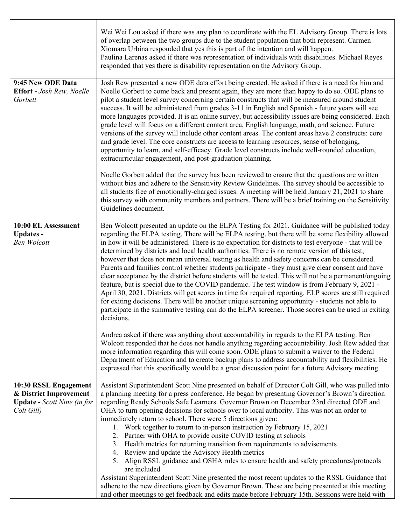| responded that yes there is disability representation on the Advisory Group.                                                                                                                                                                                                                                                                                                                                                                                                                                                                                                                                                                                                                                                                                                                                                                                                                                                                                                                                                                                                                                                                                       |
|--------------------------------------------------------------------------------------------------------------------------------------------------------------------------------------------------------------------------------------------------------------------------------------------------------------------------------------------------------------------------------------------------------------------------------------------------------------------------------------------------------------------------------------------------------------------------------------------------------------------------------------------------------------------------------------------------------------------------------------------------------------------------------------------------------------------------------------------------------------------------------------------------------------------------------------------------------------------------------------------------------------------------------------------------------------------------------------------------------------------------------------------------------------------|
| Josh Rew presented a new ODE data effort being created. He asked if there is a need for him and<br>Noelle Gorbett to come back and present again, they are more than happy to do so. ODE plans to<br>pilot a student level survey concerning certain constructs that will be measured around student<br>success. It will be administered from grades 3-11 in English and Spanish - future years will see<br>more languages provided. It is an online survey, but accessibility issues are being considered. Each<br>grade level will focus on a different content area, English language, math, and science. Future<br>versions of the survey will include other content areas. The content areas have 2 constructs: core<br>and grade level. The core constructs are access to learning resources, sense of belonging,<br>opportunity to learn, and self-efficacy. Grade level constructs include well-rounded education,<br>extracurricular engagement, and post-graduation planning.                                                                                                                                                                            |
| Noelle Gorbett added that the survey has been reviewed to ensure that the questions are written<br>without bias and adhere to the Sensitivity Review Guidelines. The survey should be accessible to<br>all students free of emotionally-charged issues. A meeting will be held January 21, 2021 to share<br>this survey with community members and partners. There will be a brief training on the Sensitivity<br>Guidelines document.                                                                                                                                                                                                                                                                                                                                                                                                                                                                                                                                                                                                                                                                                                                             |
| Ben Wolcott presented an update on the ELPA Testing for 2021. Guidance will be published today<br>regarding the ELPA testing. There will be ELPA testing, but there will be some flexibility allowed<br>in how it will be administered. There is no expectation for districts to test everyone - that will be<br>determined by districts and local health authorities. There is no remote version of this test;<br>however that does not mean universal testing as health and safety concerns can be considered.<br>Parents and families control whether students participate - they must give clear consent and have<br>clear acceptance by the district before students will be tested. This will not be a permanent/ongoing<br>feature, but is special due to the COVID pandemic. The test window is from February 9, 2021 -<br>April 30, 2021. Districts will get scores in time for required reporting. ELP scores are still required<br>for exiting decisions. There will be another unique screening opportunity - students not able to<br>participate in the summative testing can do the ELPA screener. Those scores can be used in exiting<br>decisions. |
| Andrea asked if there was anything about accountability in regards to the ELPA testing. Ben<br>Wolcott responded that he does not handle anything regarding accountability. Josh Rew added that<br>more information regarding this will come soon. ODE plans to submit a waiver to the Federal<br>Department of Education and to create backup plans to address accountability and flexibilities. He<br>expressed that this specifically would be a great discussion point for a future Advisory meeting.                                                                                                                                                                                                                                                                                                                                                                                                                                                                                                                                                                                                                                                          |
| Assistant Superintendent Scott Nine presented on behalf of Director Colt Gill, who was pulled into<br>a planning meeting for a press conference. He began by presenting Governor's Brown's direction<br>regarding Ready Schools Safe Learners. Governor Brown on December 23rd directed ODE and<br>OHA to turn opening decisions for schools over to local authority. This was not an order to<br>immediately return to school. There were 5 directions given:<br>1. Work together to return to in-person instruction by February 15, 2021<br>2. Partner with OHA to provide onsite COVID testing at schools<br>3. Health metrics for returning transition from requirements to advisements<br>4. Review and update the Advisory Health metrics<br>5. Align RSSL guidance and OSHA rules to ensure health and safety procedures/protocols<br>are included<br>Assistant Superintendent Scott Nine presented the most recent updates to the RSSL Guidance that<br>adhere to the new directions given by Governor Brown. These are being presented at this meeting                                                                                                    |
| and other meetings to get feedback and edits made before February 15th. Sessions were held with                                                                                                                                                                                                                                                                                                                                                                                                                                                                                                                                                                                                                                                                                                                                                                                                                                                                                                                                                                                                                                                                    |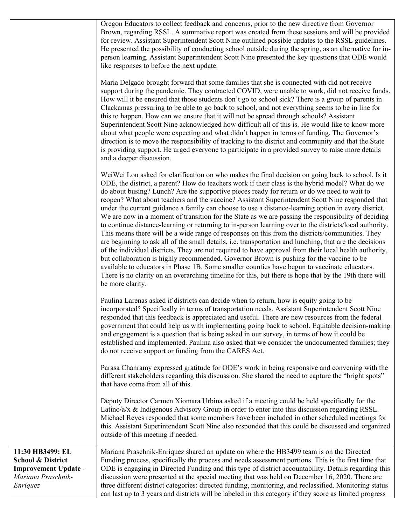|                                                                                                                   | Oregon Educators to collect feedback and concerns, prior to the new directive from Governor<br>Brown, regarding RSSL. A summative report was created from these sessions and will be provided<br>for review. Assistant Superintendent Scott Nine outlined possible updates to the RSSL guidelines.<br>He presented the possibility of conducting school outside during the spring, as an alternative for in-<br>person learning. Assistant Superintendent Scott Nine presented the key questions that ODE would<br>like responses to before the next update.                                                                                                                                                                                                                                                                                                                                                                                                                                                                                                                                                                                                                                                                                                                                                                                                                       |
|-------------------------------------------------------------------------------------------------------------------|------------------------------------------------------------------------------------------------------------------------------------------------------------------------------------------------------------------------------------------------------------------------------------------------------------------------------------------------------------------------------------------------------------------------------------------------------------------------------------------------------------------------------------------------------------------------------------------------------------------------------------------------------------------------------------------------------------------------------------------------------------------------------------------------------------------------------------------------------------------------------------------------------------------------------------------------------------------------------------------------------------------------------------------------------------------------------------------------------------------------------------------------------------------------------------------------------------------------------------------------------------------------------------------------------------------------------------------------------------------------------------|
|                                                                                                                   | Maria Delgado brought forward that some families that she is connected with did not receive<br>support during the pandemic. They contracted COVID, were unable to work, did not receive funds.<br>How will it be ensured that those students don't go to school sick? There is a group of parents in<br>Clackamas pressuring to be able to go back to school, and not everything seems to be in line for<br>this to happen. How can we ensure that it will not be spread through schools? Assistant<br>Superintendent Scott Nine acknowledged how difficult all of this is. He would like to know more<br>about what people were expecting and what didn't happen in terms of funding. The Governor's<br>direction is to move the responsibility of tracking to the district and community and that the State<br>is providing support. He urged everyone to participate in a provided survey to raise more details<br>and a deeper discussion.                                                                                                                                                                                                                                                                                                                                                                                                                                     |
|                                                                                                                   | WeiWei Lou asked for clarification on who makes the final decision on going back to school. Is it<br>ODE, the district, a parent? How do teachers work if their class is the hybrid model? What do we<br>do about busing? Lunch? Are the supportive pieces ready for return or do we need to wait to<br>reopen? What about teachers and the vaccine? Assistant Superintendent Scott Nine responded that<br>under the current guidance a family can choose to use a distance-learning option in every district.<br>We are now in a moment of transition for the State as we are passing the responsibility of deciding<br>to continue distance-learning or returning to in-person learning over to the districts/local authority.<br>This means there will be a wide range of responses on this from the districts/communities. They<br>are beginning to ask all of the small details, i.e. transportation and lunching, that are the decisions<br>of the individual districts. They are not required to have approval from their local health authority,<br>but collaboration is highly recommended. Governor Brown is pushing for the vaccine to be<br>available to educators in Phase 1B. Some smaller counties have begun to vaccinate educators.<br>There is no clarity on an overarching timeline for this, but there is hope that by the 19th there will<br>be more clarity. |
|                                                                                                                   | Paulina Larenas asked if districts can decide when to return, how is equity going to be<br>incorporated? Specifically in terms of transportation needs. Assistant Superintendent Scott Nine<br>responded that this feedback is appreciated and useful. There are new resources from the federal<br>government that could help us with implementing going back to school. Equitable decision-making<br>and engagement is a question that is being asked in our survey, in terms of how it could be<br>established and implemented. Paulina also asked that we consider the undocumented families; they<br>do not receive support or funding from the CARES Act.                                                                                                                                                                                                                                                                                                                                                                                                                                                                                                                                                                                                                                                                                                                     |
|                                                                                                                   | Parasa Chanramy expressed gratitude for ODE's work in being responsive and convening with the<br>different stakeholders regarding this discussion. She shared the need to capture the "bright spots"<br>that have come from all of this.                                                                                                                                                                                                                                                                                                                                                                                                                                                                                                                                                                                                                                                                                                                                                                                                                                                                                                                                                                                                                                                                                                                                           |
|                                                                                                                   | Deputy Director Carmen Xiomara Urbina asked if a meeting could be held specifically for the<br>Latino/a/x & Indigenous Advisory Group in order to enter into this discussion regarding RSSL.<br>Michael Reyes responded that some members have been included in other scheduled meetings for<br>this. Assistant Superintendent Scott Nine also responded that this could be discussed and organized<br>outside of this meeting if needed.                                                                                                                                                                                                                                                                                                                                                                                                                                                                                                                                                                                                                                                                                                                                                                                                                                                                                                                                          |
| 11:30 HB3499: EL<br><b>School &amp; District</b><br><b>Improvement Update -</b><br>Mariana Praschnik-<br>Enriquez | Mariana Praschnik-Enriquez shared an update on where the HB3499 team is on the Directed<br>Funding process, specifically the process and needs assessment portions. This is the first time that<br>ODE is engaging in Directed Funding and this type of district accountability. Details regarding this<br>discussion were presented at the special meeting that was held on December 16, 2020. There are<br>three different district categories: directed funding, monitoring, and reclassified. Monitoring status<br>can last up to 3 years and districts will be labeled in this category if they score as limited progress                                                                                                                                                                                                                                                                                                                                                                                                                                                                                                                                                                                                                                                                                                                                                     |